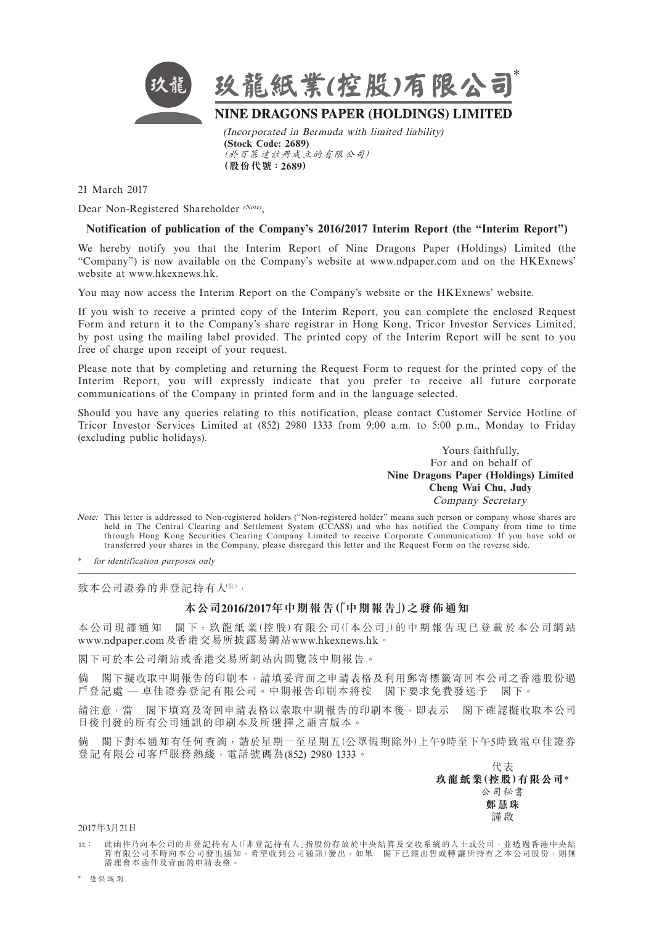

21 March 2017

Dear Non-Registered Shareholder (Note),

## **Notification of publication of the Company's 2016/2017 Interim Report (the "Interim Report")**

We hereby notify you that the Interim Report of Nine Dragons Paper (Holdings) Limited (the "Company") is now available on the Company's website at www.ndpaper.com and on the HKExnews' website at www.hkexnews.hk.

You may now access the Interim Report on the Company's website or the HKExnews' website.

If you wish to receive a printed copy of the Interim Report, you can complete the enclosed Request Form and return it to the Company's share registrar in Hong Kong, Tricor Investor Services Limited, by post using the mailing label provided. The printed copy of the Interim Report will be sent to you free of charge upon receipt of your request.

Please note that by completing and returning the Request Form to request for the printed copy of the Interim Report, you will expressly indicate that you prefer to receive all future corporate communications of the Company in printed form and in the language selected.

Should you have any queries relating to this notification, please contact Customer Service Hotline of Tricor Investor Services Limited at (852) 2980 1333 from 9:00 a.m. to 5:00 p.m., Monday to Friday (excluding public holidays).

> Yours faithfully, For and on behalf of **Nine Dragons Paper (Holdings) Limited Cheng Wai Chu, Judy** Company Secretary

Note: This letter is addressed to Non-registered holders ("Non-registered holder" means such person or company whose shares are held in The Central Clearing and Settlement System (CCASS) and who has notified the Company from time to time through Hong Kong Securities Clearing Company Limited to receive Corporate Communication). If you have sold or transferred your shares in the Company, please disregard this letter and the Request Form on the reverse side.

for identification purposes only

致本公司證券的非登記持有人(註),

## **本公司2016/2017年中期報告(「中期報告」)之發佈通知**

本公司現 謹 通 知 閣 下, 玖 龍 紙 業(控 股) 有 限 公 司 (「本 公 司」) 的 中 期 報 告 現 已 登 載 於 本 公 司 網 站 [www.ndpaper.com](http://www.ndpaper.com)及香港交易所披露易網站[www.hkexnews.hk](http://www.hkexnews.hk)。

閣下可於本公司網站或香港交易所網站內閱覽該中期報告。

倘 閣下擬收取中期報告的印刷本,請填妥背面之申請表格及利用郵寄標籤寄回本公司之香港股份過 戶登記處 — 卓佳證券登記有限公司。中期報告印刷本將按 閣下要求免費發送予 閣下。

請注意,當 閣下填寫及寄回申請表格以索取中期報告的印刷本後,即表示 閣下確認擬收取本公司 日後刊發的所有公司通訊的印刷本及所選擇之語言版本。

倘 閣下對本通知有任何查詢,請於星期一至星期五(公眾假期除外)上午9時至下午5時致電卓佳證券 登記有限公司客戶服務熱綫,電話號碼為(852) 2980 1333。

> 代表 **玖龍紙業(控股)有限公司**\*

公司秘書 **鄭慧珠**

謹啟

2017年3月21日

註: 此函件乃向本公司的非登記持有人(「非登記持有人」指股份存放於中央結算及交收系統的人士或公司,並透過香港中央結 算有限公司不時向本公司發出通知,希望收到公司通訊)發出。如果 閣下已經出售或轉讓 所持有之本公司股份,則無 需理會本函件及背面的申請表格。